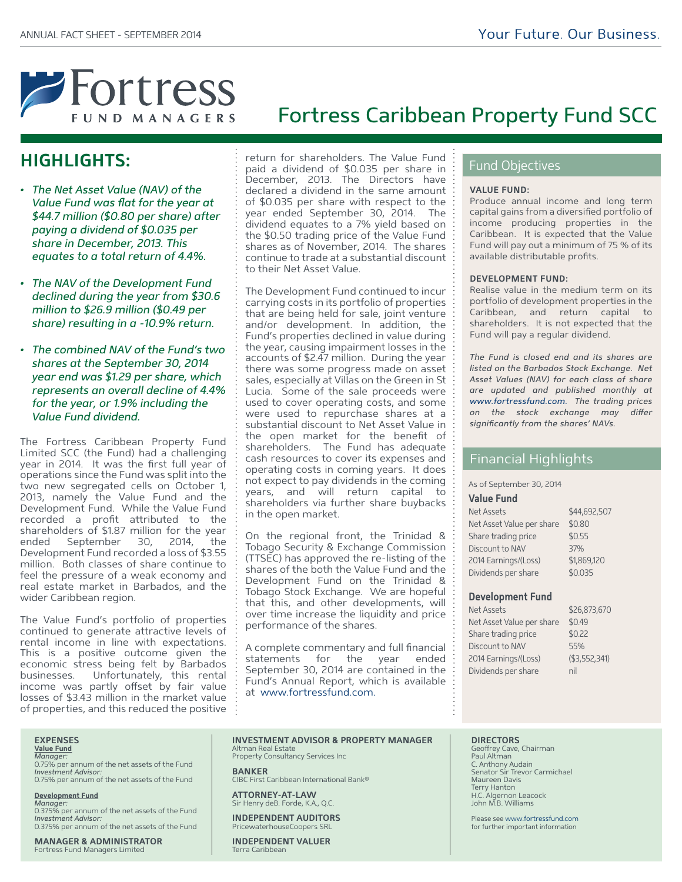

# **HIGHLIGHTS:**

- *The Net Asset Value (NAV) of the Value Fund was flat for the year at \$44.7 million (\$0.80 per share) after paying a dividend of \$0.035 per share in December, 2013. This equates to a total return of 4.4%.*
- *The NAV of the Development Fund declined during the year from \$30.6 million to \$26.9 million (\$0.49 per share) resulting in a -10.9% return.*
- *The combined NAV of the Fund's two shares at the September 30, 2014 year end was \$1.29 per share, which represents an overall decline of 4.4% for the year, or 1.9% including the Value Fund dividend.*

The Fortress Caribbean Property Fund Limited SCC (the Fund) had a challenging year in 2014. It was the first full year of operations since the Fund was split into the two new segregated cells on October 1, 2013, namely the Value Fund and the Development Fund. While the Value Fund recorded a profit attributed to the shareholders of \$1.87 million for the year September 30, 2014, the Development Fund recorded a loss of \$3.55 million. Both classes of share continue to feel the pressure of a weak economy and real estate market in Barbados, and the wider Caribbean region.

The Value Fund's portfolio of properties continued to generate attractive levels of rental income in line with expectations. This is a positive outcome given the economic stress being felt by Barbados businesses. Unfortunately, this rental income was partly offset by fair value losses of \$3.43 million in the market value of properties, and this reduced the positive return for shareholders. The Value Fund paid a dividend of \$0.035 per share in December, 2013. The Directors have declared a dividend in the same amount of \$0.035 per share with respect to the year ended September 30, 2014. The dividend equates to a 7% yield based on the \$0.50 trading price of the Value Fund shares as of November, 2014. The shares continue to trade at a substantial discount to their Net Asset Value.

The Development Fund continued to incur carrying costs in its portfolio of properties that are being held for sale, joint venture and/or development. In addition, the Fund's properties declined in value during the year, causing impairment losses in the accounts of \$2.47 million. During the year there was some progress made on asset sales, especially at Villas on the Green in St Lucia. Some of the sale proceeds were used to cover operating costs, and some were used to repurchase shares at a substantial discount to Net Asset Value in the open market for the benefit of shareholders. The Fund has adequate cash resources to cover its expenses and operating costs in coming years. It does not expect to pay dividends in the coming years, and will return capital to shareholders via further share buybacks in the open market.

On the regional front, the Trinidad & Tobago Security & Exchange Commission (TTSEC) has approved the re-listing of the shares of the both the Value Fund and the Development Fund on the Trinidad & Tobago Stock Exchange. We are hopeful that this, and other developments, will over time increase the liquidity and price performance of the shares.

A complete commentary and full financial statements for the year ended September 30, 2014 are contained in the Fund's Annual Report, which is available at www.fortressfund.com.

# Fund Objectives

## **VALUE FUND:**

Fortress Caribbean Property Fund SCC

Produce annual income and long term capital gains from a diversified portfolio of income producing properties in the Caribbean. It is expected that the Value Fund will pay out a minimum of 75 % of its available distributable profits.

## **DEVELOPMENT FUND:**

Realise value in the medium term on its portfolio of development properties in the Caribbean, and return capital to shareholders. It is not expected that the Fund will pay a regular dividend.

*The Fund is closed end and its shares are listed on the Barbados Stock Exchange. Net Asset Values (NAV) for each class of share are updated and published monthly at www.fortressfund.com. The trading prices*   $on$  the stock exchange may differ *significantly from the shares' NAVs.*

## Financial Highlights

As of September 30, 2014

## **Value Fund**

| <b>Net Assets</b>         | \$44,692,507 |
|---------------------------|--------------|
| Net Asset Value per share | \$0.80       |
| Share trading price       | \$0.55       |
| Discount to NAV           | 37%          |
| 2014 Earnings/(Loss)      | \$1,869,120  |
| Dividends per share       | \$0.035      |
|                           |              |

## **Development Fund**

| <b>Net Assets</b>         | \$26,873,670  |
|---------------------------|---------------|
| Net Asset Value per share | \$0.49        |
| Share trading price       | \$0.22        |
| Discount to NAV           | 55%           |
| 2014 Earnings/(Loss)      | (\$3,552,341) |
| Dividends per share       | nil           |
|                           |               |

# **EXPENSES**

**Value Fund** *Manager:* 

0.75% per annum of the net assets of the Fund *Investment Advisor:*  0.75% per annum of the net assets of the Fund

**Development Fund** *Manager:*  0.375% per annum of the net assets of the Fund

*Investment Advisor:*  0.375% per annum of the net assets of the Fund

**MANAGER & ADMINISTRATOR** Fortress Fund Managers Limited

#### **INVESTMENT ADVISOR & PROPERTY MANAGER** Altman Real Estate Property Consultancy Services Inc

**BANKER** CIBC First Caribbean International Bank®

**ATTORNEY-AT-LAW** Sir Henry deB. Forde, K.A., Q.C.

**INDEPENDENT AUDITORS** PricewaterhouseCoopers SRL

**INDEPENDENT VALUER** Terra Caribbean

## **DIRECTORS**

Geoffrey Cave, Chairman<br>Paul Altman C. Anthony Audain Senator Sir Trevor Carmichael Maureen Davis Hanton H.C. Algernon Leacock John M.B. Williams

Please see www.fortressfund.com for further important information